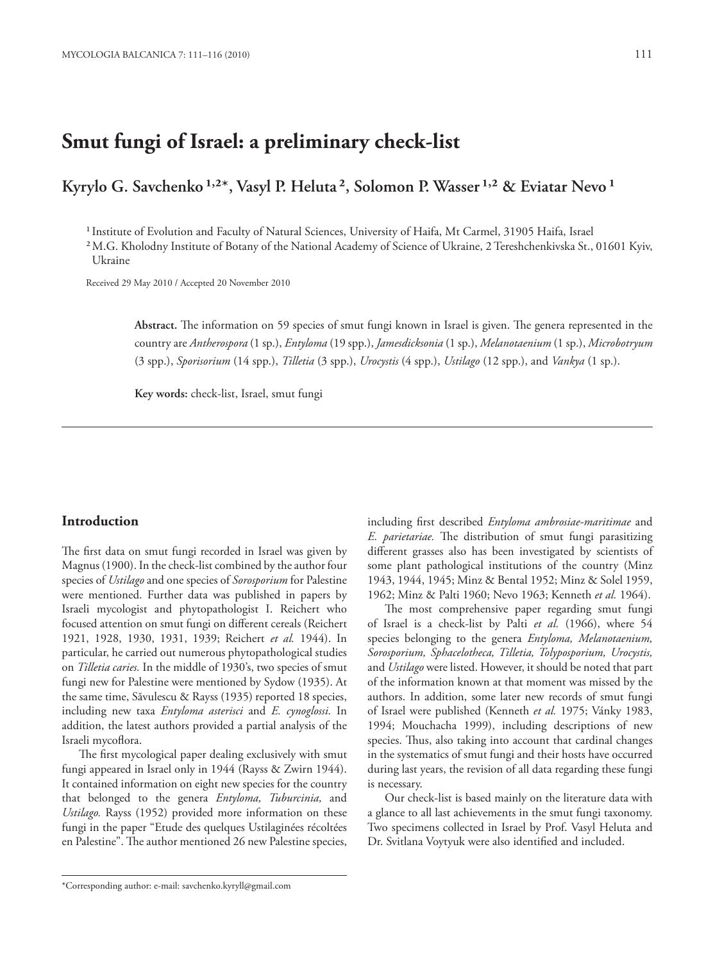# **Smut fungi of Israel: a preliminary check-list**

## Kyrylo G. Savchenko <sup>1,2\*</sup>, Vasyl P. Heluta<sup>2</sup>, Solomon P. Wasser <sup>1,2</sup> & Eviatar Nevo <sup>1</sup>

<sup>1</sup> Institute of Evolution and Faculty of Natural Sciences, University of Haifa, Mt Carmel, 31905 Haifa, Israel

² M.G. Kholodny Institute of Botany of the National Academy of Science of Ukraine, 2 Tereshchenkivska St., 01601 Kyiv, Ukraine

Received 29 May 2010 / Accepted 20 November 2010

Abstract. The information on 59 species of smut fungi known in Israel is given. The genera represented in the country are *Antherospora* (1 sp.), *Entyloma* (19 spp.), *Jamesdicksonia* (1 sp.), *Melanotaenium* (1 sp.), *Microbotryum* (3 spp.), *Sporisorium* (14 spp.), *Tilletia* (3 spp.), *Urocystis* (4 spp.), *Ustilago* (12 spp.), and *Vankya* (1 sp.).

**Key words:** check-list, Israel, smut fungi

#### **Introduction**

The first data on smut fungi recorded in Israel was given by Magnus (1900). In the check-list combined by the author four species of *Ustilago* and one species of *Sorosporium* for Palestine were mentioned. Further data was published in papers by Israeli mycologist and phytopathologist I. Reichert who focused attention on smut fungi on different cereals (Reichert 1921, 1928, 1930, 1931, 1939; Reichert *et al.* 1944). In particular, he carried out numerous phytopathological studies on *Tilletia caries.* In the middle of 1930's, two species of smut fungi new for Palestine were mentioned by Sydow (1935). At the same time, Săvulescu & Rayss (1935) reported 18 species, including new taxa *Entyloma asterisci* and *E. cynoglossi.* In addition, the latest authors provided a partial analysis of the Israeli mycoflora.

The first mycological paper dealing exclusively with smut fungi appeared in Israel only in 1944 (Rayss & Zwirn 1944). It contained information on eight new species for the country that belonged to the genera *Entyloma, Tuburcinia,* and *Ustilago.* Rayss (1952) provided more information on these fungi in the paper "Etude des quelques Ustilaginées récoltées en Palestine". The author mentioned 26 new Palestine species, including first described *Entyloma ambrosiae-maritimae* and *E. parietariae.* The distribution of smut fungi parasitizing different grasses also has been investigated by scientists of some plant pathological institutions of the country (Minz 1943, 1944, 1945; Minz & Bental 1952; Minz & Solel 1959, 1962; Minz & Palti 1960; Nevo 1963; Kenneth *et al.* 1964).

The most comprehensive paper regarding smut fungi of Israel is a check-list by Palti *et al.* (1966), where 54 species belonging to the genera *Entyloma, Melanotaenium, Sorosporium, Sphacelotheca, Tilletia, Tolyposporium, Urocystis,* and *Ustilago* were listed. However, it should be noted that part of the information known at that moment was missed by the authors. In addition, some later new records of smut fungi of Israel were published (Kenneth *et al.* 1975; Vánky 1983, 1994; Mouchacha 1999), including descriptions of new species. Thus, also taking into account that cardinal changes in the systematics of smut fungi and their hosts have occurred during last years, the revision of all data regarding these fungi is necessary.

Our check-list is based mainly on the literature data with a glance to all last achievements in the smut fungi taxonomy. Two specimens collected in Israel by Prof. Vasyl Heluta and Dr. Svitlana Voytyuk were also identified and included.

<sup>\*</sup>Corresponding author: e-mail: savchenko.kyryll@gmail.com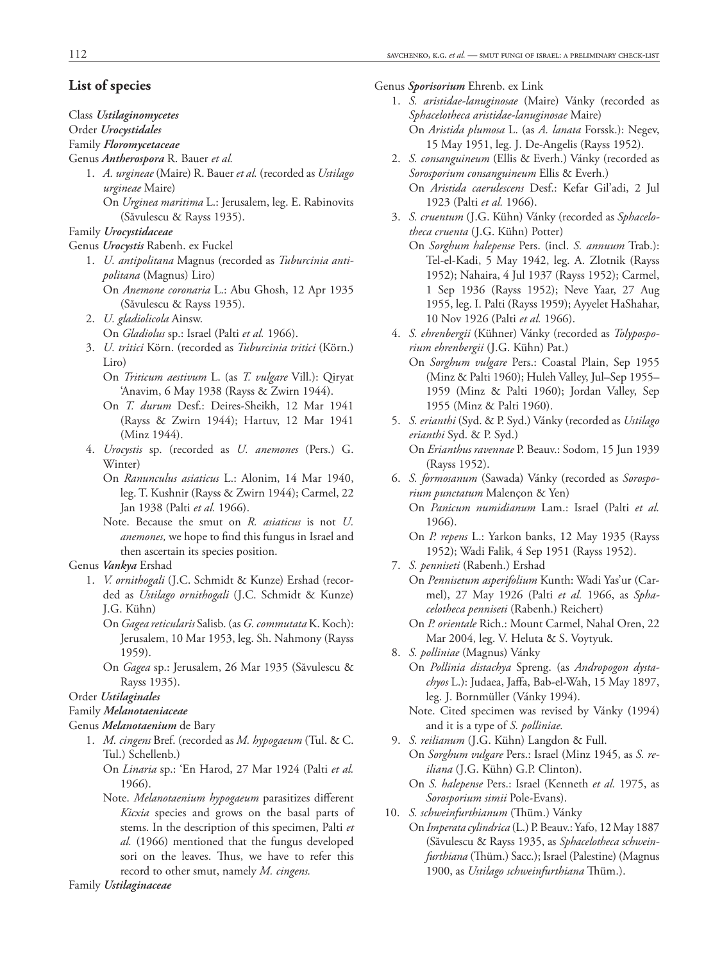## **List of species**

#### Class *Ustilaginomycetes*

## Order *Urocystidales*

## Family *Floromycetaceae*

## Genus *Antherospora* R. Bauer *et al.*

- 1. *A. urgineae* (Maire) R. Bauer *et al.* (recorded as *Ustilago urgineae* Maire) On *Urginea maritima* L.: Jerusalem, leg. E. Rabinovits
	- (Săvulescu & Rayss 1935).

## Family *Urocystidaceae*

#### Genus *Urocystis* Rabenh. ex Fuckel

- 1. *U. antipolitana* Magnus (recorded as *Tuburcinia antipolitana* (Magnus) Liro)
	- On *Anemone coronaria* L.: Abu Ghosh, 12 Apr 1935 (Săvulescu & Rayss 1935).
- 2. *U. gladiolicola* Ainsw.
	- On *Gladiolus* sp.: Israel (Palti *et al.* 1966).
- 3. *U. tritici* Körn. (recorded as *Tuburcinia tritici* (Körn.) Liro)
	- On *Triticum aestivum* L. (as *T. vulgare* Vill.): Qiryat 'Anavim, 6 May 1938 (Rayss & Zwirn 1944).
	- On *T. durum* Desf.: Deires-Sheikh, 12 Mar 1941 (Rayss & Zwirn 1944); Hartuv, 12 Mar 1941 (Minz 1944).
- 4. *Urocystis* sp. (recorded as *U. anemones* (Pers.) G. Winter)
	- On *Ranunculus asiaticus* L.: Alonim, 14 Mar 1940, leg. T. Kushnir (Rayss & Zwirn 1944); Carmel, 22 Jan 1938 (Palti *et al.* 1966).
	- Note. Because the smut on *R. asiaticus* is not *U. anemones*, we hope to find this fungus in Israel and then ascertain its species position.

#### Genus *Vankya* Ershad

- 1. *V. ornithogali* (J.C. Schmidt & Kunze) Ershad (recorded as *Ustilago ornithogali* (J.C. Schmidt & Kunze) J.G. Kühn)
	- On *Gagea reticularis* Salisb. (as *G. commutata* K. Koch): Jerusalem, 10 Mar 1953, leg. Sh. Nahmony (Rayss 1959).
	- On *Gagea* sp.: Jerusalem, 26 Mar 1935 (Săvulescu & Rayss 1935).

## Order *Ustilaginales*

## Family *Melanotaeniaceae*

#### Genus *Melanotaenium* de Bary

- 1. *M. cingens* Bref. (recorded as *M. hypogaeum* (Tul. & C. Tul.) Schellenb.)
	- On *Linaria* sp.: 'En Harod, 27 Mar 1924 (Palti *et al.* 1966).
	- Note. *Melanotaenium hypogaeum* parasitizes different *Kicxia* species and grows on the basal parts of stems. In the description of this specimen, Palti *et al.* (1966) mentioned that the fungus developed sori on the leaves. Thus, we have to refer this record to other smut, namely *M. cingens.*

Family *Ustilaginaceae*

#### Genus *Sporisorium* Ehrenb. ex Link

- 1. *S. aristidae-lanuginosae* (Maire) Vánky (recorded as *Spha celo theca aristidae-lanuginosae* Maire) On *Aristida plumosa* L. (as *A. lanata* Forssk.): Negev, 15 May 1951, leg. J. De-Angelis (Rayss 1952).
- 2. *S. consanguineum* (Ellis & Everh.) Vánky (recorded as *Sorosporium consanguineum* Ellis & Everh.) On *Aristida caerulescens* Desf.: Kefar Gil'adi, 2 Jul 1923 (Palti *et al.* 1966).
- 3. S. cruentum (J.G. Kühn) Vánky (recorded as Sphacelo*theca cruenta* (J.G. Kühn) Potter)
	- On *Sorghum halepense* Pers. (incl. *S. annuum* Trab.): Tel-el-Kadi, 5 May 1942, leg. A. Zlotnik (Rayss 1952); Nahaira, 4 Jul 1937 (Rayss 1952); Carmel, 1 Sep 1936 (Rayss 1952); Neve Yaar, 27 Aug 1955, leg. I. Palti (Rayss 1959); Ayyelet HaShahar, 10 Nov 1926 (Palti *et al.* 1966).
- 4. S. ehrenbergii (Kühner) Vánky (recorded as *Tolyposporium ehrenbergii* (J.G. Kühn) Pat.)
	- On *Sorghum vulgare* Pers.: Coastal Plain, Sep 1955 (Minz & Palti 1960); Huleh Valley, Jul–Sep 1955– 1959 (Minz & Palti 1960); Jordan Valley, Sep 1955 (Minz & Palti 1960).
- 5. *S. erianthi* (Syd. & P. Syd.) Vánky (recorded as *Ustilago erianthi* Syd. & P. Syd.) On *Erianthus ravennae* P. Beauv.: Sodom, 15 Jun 1939 (Rayss 1952).
- 6. *S. formosanum* (Sawada) Vánky (recorded as *Sorosporium punctatum* Malençon & Yen) On *Panicum numidianum* Lam.: Israel (Palti *et al.*
	- 1966).
	- On *P. repens* L.: Yarkon banks, 12 May 1935 (Rayss 1952); Wadi Falik, 4 Sep 1951 (Rayss 1952).
- 7. *S. penniseti* (Rabenh.) Ershad

On *Pennisetum asperifolium* Kunth: Wadi Yas'ur (Carmel), 27 May 1926 (Palti *et al.* 1966, as *Sphacelotheca penniseti* (Rabenh.) Reichert)

- On *P. orientale* Rich.: Mount Carmel, Nahal Oren, 22 Mar 2004, leg. V. Heluta & S. Voytyuk.
- 8. *S. polliniae* (Magnus) Vánky

On *Pollinia distachya* Spreng. (as *Andropogon dysta*chyos L.): Judaea, Jaffa, Bab-el-Wah, 15 May 1897, leg. J. Bornmüller (Vánky 1994).

- Note. Cited specimen was revised by Vánky (1994) and it is a type of *S. polliniae.*
- 9. *S. reilianum* (J.G. Kühn) Langdon & Full. On *Sorghum vulgare* Pers.: Israel (Minz 1945, as *S. reiliana* (J.G. Kühn) G.P. Clinton).
	- On *S. halepense* Pers.: Israel (Kenneth *et al.* 1975, as *Sorosporium simii* Pole-Evans).
- 10. *S. schweinfurthianum* (Thüm.) Vánky
	- On *Imperata cylindrica* (L.) P. Beauv.: Yafo, 12 May 1887 (Săvulescu & Rayss 1935, as *Sphacelotheca schweinfurthiana* (Thüm.) Sacc.); Israel (Palestine) (Magnus 1900, as *Ustilago schweinfurthiana* Thüm.).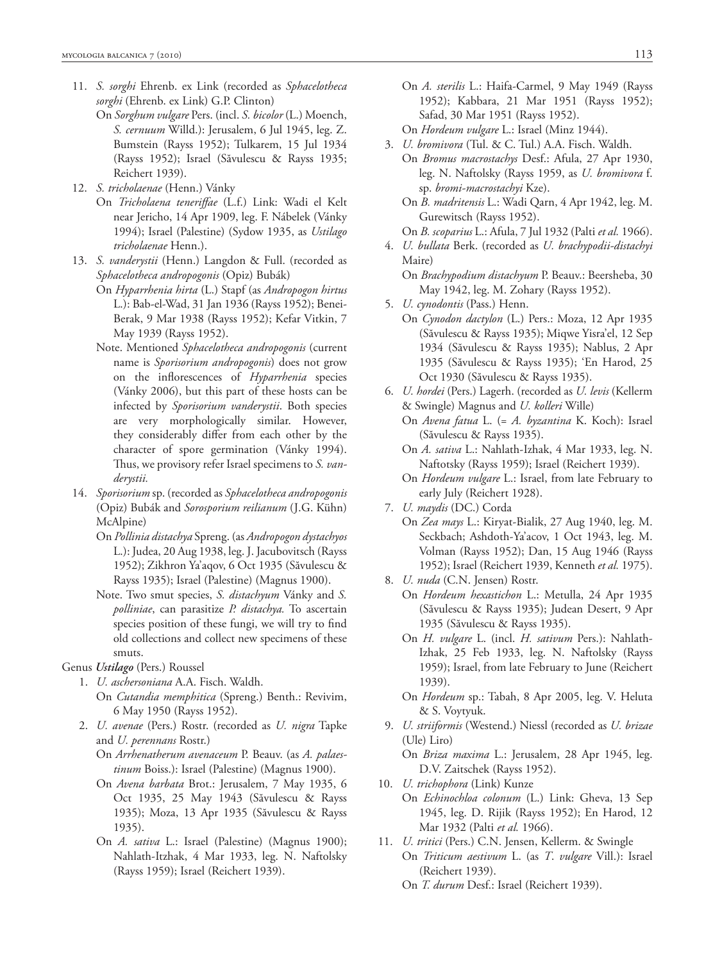- 11. *S. sorghi* Ehrenb. ex Link (recorded as *Sphacelotheca sorghi* (Ehrenb. ex Link) G.P. Clinton)
	- On *Sorghum vulgare* Pers. (incl. *S. bicolor* (L.) Moench, *S. cernuum* Willd.): Jerusalem, 6 Jul 1945, leg. Z. Bumstein (Rayss 1952); Tulkarem, 15 Jul 1934 (Rayss 1952); Israel (Săvulescu & Rayss 1935; Reichert 1939).
- 12. *S. tricholaenae* (Henn.) Vánky
	- On *Tricholaena teneriffae* (L.f.) Link: Wadi el Kelt near Jericho, 14 Apr 1909, leg. F. Nábelek (Vánky 1994); Israel (Palestine) (Sydow 1935, as *Ustilago tricholaenae* Henn.).
- 13. *S. vanderystii* (Henn.) Langdon & Full. (recorded as *Spha celotheca andropogonis* (Opiz) Bubák)
	- On *Hyparrhenia hirta* (L.) Stapf (as *Andropogon hirtus* L.): Bab-el-Wad, 31 Jan 1936 (Rayss 1952); Benei-Berak, 9 Mar 1938 (Rayss 1952); Kefar Vitkin, 7 May 1939 (Rayss 1952).
	- Note. Mentioned *Sphacelotheca andropogonis* (current name is *Sporisorium andropogonis*) does not grow on the inflorescences of *Hyparrhenia* species (Vánky 2006), but this part of these hosts can be infected by *Sporisorium vanderystii*. Both species are very morphologically similar. However, they considerably differ from each other by the character of spore germination (Vánky 1994). Thus, we provisory refer Israel specimens to *S. vanderystii.*
- 14. *Sporisorium* sp. (recorded as *Sphacelotheca andropogonis*  (Opiz) Bubák and *Sorosporium reilianum* (J.G. Kühn) McAlpine)
	- On *Pollinia distachya* Spreng. (as *Andropogon dystachyos* L.): Judea, 20 Aug 1938, leg. J. Jacubovitsch (Rayss 1952); Zikhron Ya'aqov, 6 Oct 1935 (Săvulescu & Rayss 1935); Israel (Palestine) (Magnus 1900).
	- Note. Two smut species, *S. distachyum* Vánky and *S. polli niae*, can parasitize *P. distachya.* To ascertain species position of these fungi, we will try to find old collections and collect new specimens of these smuts.

Genus *Ustilago* (Pers.) Roussel

- 1. *U. aschersoniana* A.A. Fisch. Waldh.
	- On *Cutandia memphitica* (Spreng.) Benth.: Revivim, 6 May 1950 (Rayss 1952).
- 2. *U. avenae* (Pers.) Rostr. (recorded as *U. nigra* Tapke and *U. perennans* Rostr.)
	- On *Arrhenatherum avenaceum* P. Beauv. (as *A. palaestinum* Boiss.): Israel (Palestine) (Magnus 1900).
	- On *Avena barbata* Brot.: Jerusalem, 7 May 1935, 6 Oct 1935, 25 May 1943 (Săvulescu & Rayss 1935); Moza, 13 Apr 1935 (Săvulescu & Rayss 1935).
	- On *A. sativa* L.: Israel (Palestine) (Magnus 1900); Nahlath-Itzhak, 4 Mar 1933, leg. N. Naftolsky (Rayss 1959); Israel (Reichert 1939).
- On *A. sterilis* L.: Haifa-Carmel, 9 May 1949 (Rayss 1952); Kabbara, 21 Mar 1951 (Rayss 1952); Safad, 30 Mar 1951 (Rayss 1952).
- On *Hordeum vulgare* L.: Israel (Minz 1944).
- 3. *U. bromivora* (Tul. & C. Tul.) A.A. Fisch. Waldh. On *Bromus macrostachys* Desf.: Afula, 27 Apr 1930, leg. N. Naftolsky (Rayss 1959, as *U. bromivora* f. sp. *bromi-macrostachyi* Kze).
	- On *B. madritensis* L.: Wadi Qarn, 4 Apr 1942, leg. M. Gurewitsch (Rayss 1952).
	- On *B. scoparius* L.: Afula, 7 Jul 1932 (Palti *et al.* 1966).
- 4. *U. bullata* Berk. (recorded as *U. brachypodii-distachyi* Maire)
	- On *Brachypodium distachyum* P. Beauv.: Beersheba, 30 May 1942, leg. M. Zohary (Rayss 1952).
- 5. *U. cynodontis* (Pass.) Henn.
	- On *Cynodon dactylon* (L.) Pers.: Moza, 12 Apr 1935 (Săvulescu & Rayss 1935); Miqwe Yisra'el, 12 Sep 1934 (Săvulescu & Rayss 1935); Nablus, 2 Apr 1935 (Săvulescu & Rayss 1935); 'En Harod, 25 Oct 1930 (Săvulescu & Rayss 1935).
- 6. *U. hordei* (Pers.) Lagerh. (recorded as *U. levis* (Kellerm & Swingle) Magnus and *U. kolleri* Wille)
	- On *Avena fatua* L. (= *A. byzantina* K. Koch): Israel (Săvulescu & Rayss 1935).
	- On *A. sativa* L.: Nahlath-Izhak, 4 Mar 1933, leg. N. Naftotsky (Rayss 1959); Israel (Reichert 1939).
	- On *Hordeum vulgare* L.: Israel, from late February to early July (Reichert 1928).

- On *Zea mays* L.: Kiryat-Bialik, 27 Aug 1940, leg. M. Seckbach; Ashdoth-Ya'acov, 1 Oct 1943, leg. M. Volman (Rayss 1952); Dan, 15 Aug 1946 (Rayss 1952); Israel (Reichert 1939, Kenneth *et al.* 1975).
- 8. *U. nuda* (C.N. Jensen) Rostr.
	- On *Hordeum hexastichon* L.: Metulla, 24 Apr 1935 (Săvulescu & Rayss 1935); Judean Desert, 9 Apr 1935 (Săvulescu & Rayss 1935).
	- On *H. vulgare* L. (incl. *H. sativum* Pers.): Nahlath-Izhak, 25 Feb 1933, leg. N. Naftolsky (Rayss 1959); Israel, from late February to June (Reichert 1939).
	- On *Hordeum* sp.: Tabah, 8 Apr 2005, leg. V. Heluta & S. Voytyuk.
- 9. *U. striiformis* (Westend.) Niessl (recorded as *U. brizae* (Ule) Liro)

On *Briza maxima* L.: Jerusalem, 28 Apr 1945, leg. D.V. Zaitschek (Rayss 1952).

- 10. *U. trichophora* (Link) Kunze
	- On *Echinochloa colonum* (L.) Link: Gheva, 13 Sep 1945, leg. D. Rijik (Rayss 1952); En Harod, 12 Mar 1932 (Palti *et al.* 1966).
- 11. *U. tritici* (Pers.) C.N. Jensen, Kellerm. & Swingle On *Triticum aestivum* L. (as *T*. *vulgare* Vill.): Israel (Reichert 1939).
	- On *T. durum* Desf.: Israel (Reichert 1939).

<sup>7.</sup> *U. maydis* (DC.) Corda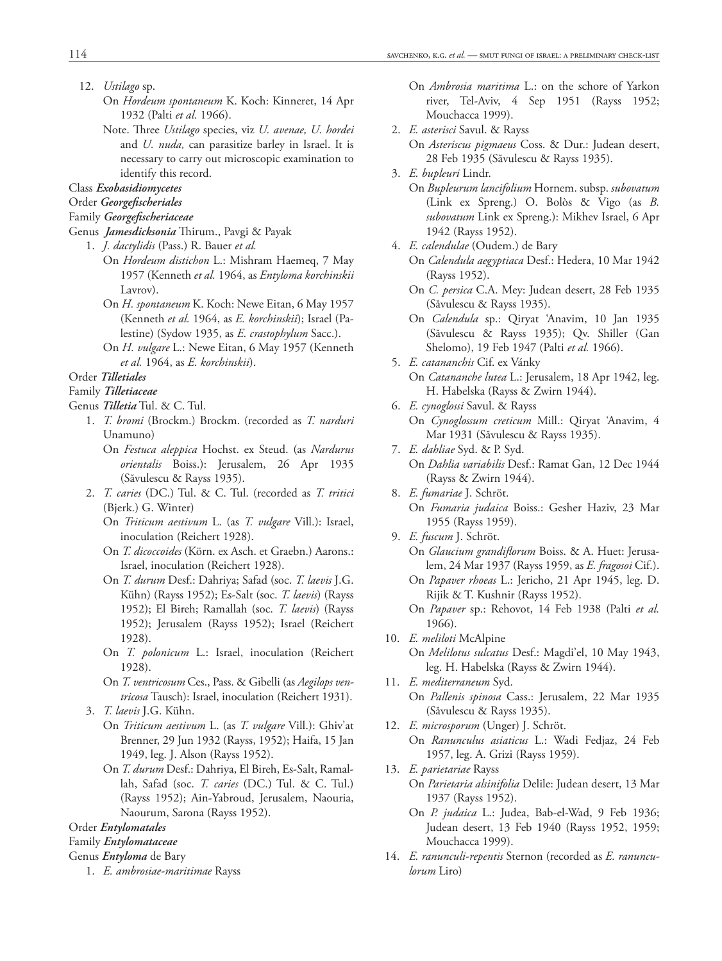- 12. *Ustilago* sp.
	- On *Hordeum spontaneum* K. Koch: Kinneret, 14 Apr 1932 (Palti *et al.* 1966).
	- Note. Th ree *Ustilago* species, viz *U. avenae, U. hordei* and *U. nuda,* can parasitize barley in Israel. It is necessary to carry out microscopic examination to identify this record.

Class *Exobasidiomycetes*

- Order *Georgefischeriales*
- Family *Georgefischeriaceae*
- Genus *Jamesdicksonia* Thirum., Pavgi & Payak
	- 1. *J. dactylidis* (Pass.) R. Bauer *et al.*
		- On *Hordeum distichon* L.: Mishram Haemeq, 7 May 1957 (Kenneth *et al.* 1964, as *Entyloma korchinskii*  Lavrov).
		- On *H. spontaneum* K. Koch: Newe Eitan, 6 May 1957 (Kenneth *et al.* 1964, as *E. korchinskii*); Israel (Pales tine) (Sydow 1935, as *E. crastophylum* Sacc.).
		- On *H. vulgare* L.: Newe Eitan, 6 May 1957 (Kenneth *et al.* 1964, as *E. korchinskii*).

#### Order *Tilletiales*

#### Family *Tilletiaceae*

Genus *Tilletia* Tul. & C. Tul.

- 1. *T. bromi* (Brockm.) Brockm. (recorded as *T. narduri*  Unamuno)
	- On *Festuca aleppica* Hochst. ex Steud. (as *Nardurus orien talis* Boiss.): Jerusalem, 26 Apr 1935 (Săvulescu & Rayss 1935).
- 2. *T. caries* (DC.) Tul. & C. Tul. (recorded as *T. tritici* (Bjerk.) G. Winter)
	- On *Triticum aestivum* L. (as *T. vulgare* Vill.): Israel, inoculation (Reichert 1928).
	- On *T. dicoccoides* (Körn. ex Asch. et Graebn.) Aarons.: Israel, inoculation (Reichert 1928).
	- On *T. durum* Desf.: Dahriya; Safad (soc. *T. laevis* J.G. Kühn) (Rayss 1952); Es-Salt (soc. *T. laevis*) (Rayss 1952); El Bireh; Ramallah (soc. *T. laevis*) (Rayss 1952); Jerusalem (Rayss 1952); Israel (Reichert 1928).
	- On *T. polonicum* L.: Israel, inoculation (Reichert 1928).
	- On *T. ventricosum* Ces., Pass. & Gibelli (as *Aegilops ventri cosa* Tausch): Israel, inoculation (Reichert 1931).
- 3. *T. laevis* J.G. Kühn.
	- On *Triticum aestivum* L. (as *T. vulgare* Vill.): Ghiv'at Brenner, 29 Jun 1932 (Rayss, 1952); Haifa, 15 Jan 1949, leg. J. Alson (Rayss 1952).
	- On *T. durum* Desf.: Dahriya, El Bireh, Es-Salt, Ramallah, Safad (soc. *T. caries* (DC.) Tul. & C. Tul.) (Rayss 1952); Ain-Yabroud, Jerusalem, Naouria, Naourum, Sarona (Rayss 1952).

Order *Entylomatales*

#### Family *Entylomataceae*

#### Genus *Entyloma* de Bary

1. *E. ambrosiae-maritimae* Rayss

- On *Ambrosia maritima* L.: on the schore of Yarkon river, Tel-Aviv, 4 Sep 1951 (Rayss 1952; Mouchacca 1999).
- 2. *E. asterisci* Savul. & Rayss On *Asteriscus pigmaeus* Coss. & Dur.: Judean desert, 28 Feb 1935 (Săvulescu & Rayss 1935).
- 3. *E. bupleuri* Lindr.
	- On *Bupleurum lancifolium* Hornem. subsp. *subovatum* (Link ex Spreng.) O. Bolòs & Vigo (as *B. subovatum* Link ex Spreng.): Mikhev Israel, 6 Apr 1942 (Rayss 1952).
- 4. *E. calendulae* (Oudem.) de Bary
	- On *Calendula aegyptiaca* Desf.: Hedera, 10 Mar 1942 (Rayss 1952).
	- On *C. persica* C.A. Mey: Judean desert, 28 Feb 1935 (Săvulescu & Rayss 1935).
	- On *Calendula* sp.: Qiryat 'Anavim, 10 Jan 1935 (Săvulescu & Rayss 1935); Qv. Shiller (Gan Shelomo), 19 Feb 1947 (Palti *et al.* 1966).
- 5. *E. catananchis* Cif. ex Vánky On *Catananche lutea* L.: Jerusalem, 18 Apr 1942, leg.
	- H. Habelska (Rayss & Zwirn 1944).
- 6. *E. cynoglossi* Savul. & Rayss On *Cynoglossum creticum* Mill.: Qiryat 'Anavim, 4 Mar 1931 (Săvulescu & Rayss 1935).
- 7. *E. dahliae* Syd. & P. Syd. On *Dahlia variabilis* Desf.: Ramat Gan, 12 Dec 1944 (Rayss & Zwirn 1944).
- 8. *E. fumariae* J. Schröt. On *Fumaria judaica* Boiss.: Gesher Haziv, 23 Mar 1955 (Rayss 1959).
- 9. *E. fuscum* J. Schröt. On *Glaucium grandiflorum* Boiss. & A. Huet: Jerusalem, 24 Mar 1937 (Rayss 1959, as *E. fragosoi* Cif.).
	- On *Papaver rhoeas* L.: Jericho, 21 Apr 1945, leg. D. Rijik & T. Kushnir (Rayss 1952).
	- On *Papaver* sp.: Rehovot, 14 Feb 1938 (Palti *et al.* 1966).
- 10. *E. meliloti* McAlpine On *Melilotus sulcatus* Desf.: Magdi'el, 10 May 1943, leg. H. Habelska (Rayss & Zwirn 1944).
- 11. *E. mediterraneum* Syd. On *Pallenis spinosa* Cass.: Jerusalem, 22 Mar 1935 (Săvulescu & Rayss 1935).
- 12. *E. microsporum* (Unger) J. Schröt. On *Ranunculus asiaticus* L.: Wadi Fedjaz, 24 Feb 1957, leg. A. Grizi (Rayss 1959).
- 13. *E. parietariae* Rayss On *Parietaria alsinifolia* Delile: Judean desert, 13 Mar 1937 (Rayss 1952).
	- On *P. judaica* L.: Judea, Bab-el-Wad, 9 Feb 1936; Judean desert, 13 Feb 1940 (Rayss 1952, 1959; Mouchacca 1999).
- 14. *E. ranunculi-repentis* Sternon (recorded as *E. ranunculorum* Liro)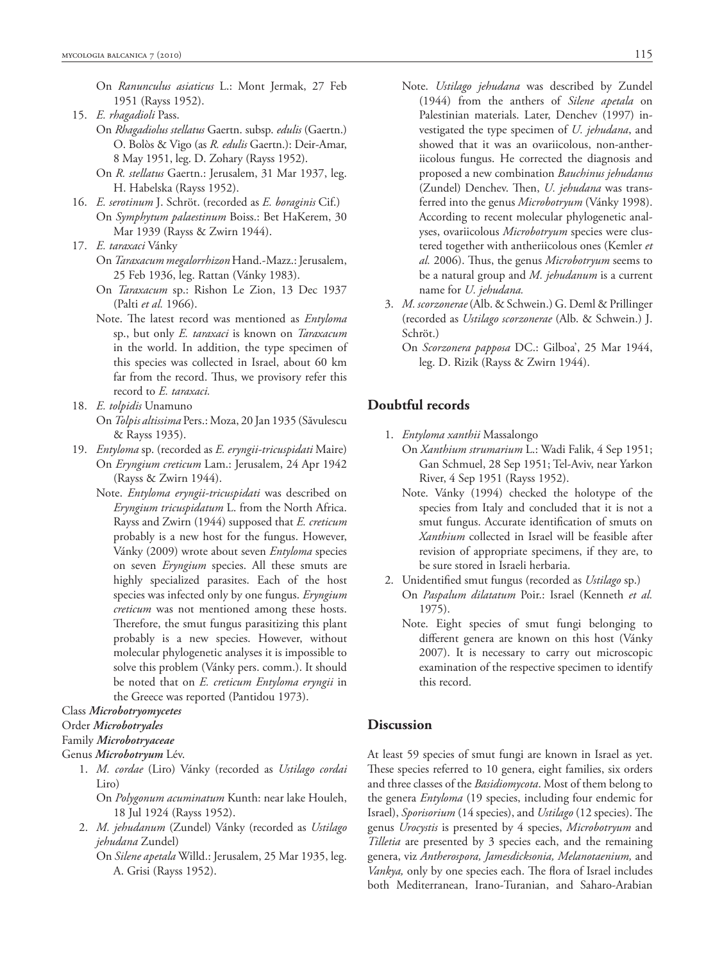- On *Ranunculus asiaticus* L.: Mont Jermak, 27 Feb 1951 (Rayss 1952).
- 15. *E. rhagadioli* Pass.
	- On *Rhagadiolus stellatus* Gaertn. subsp. *edulis* (Gaertn.) O. Bolòs & Vigo (as *R. edulis* Gaertn.): Deir-Amar, 8 May 1951, leg. D. Zohary (Rayss 1952).
		- On *R. stellatus* Gaertn.: Jerusalem, 31 Mar 1937, leg. H. Habelska (Rayss 1952).
- 16. *E. serotinum* J. Schröt. (recorded as *E. boraginis* Cif.) On *Symphytum palaestinum* Boiss.: Bet HaKerem, 30 Mar 1939 (Rayss & Zwirn 1944).
- 17. *E. taraxaci* Vánky
	- On *Taraxacum megalorrhizon* Hand.-Mazz.: Jerusalem, 25 Feb 1936, leg. Rattan (Vánky 1983).
	- On *Taraxacum* sp.: Rishon Le Zion, 13 Dec 1937 (Palti *et al.* 1966).
	- Note. The latest record was mentioned as *Entyloma* sp., but only *E. taraxaci* is known on *Taraxacum* in the world. In addition, the type specimen of this species was collected in Israel, about 60 km far from the record. Thus, we provisory refer this record to *E. taraxaci.*
- 18. *E. tolpidis* Unamuno
	- On *Tolpis altissima* Pers.: Moza, 20 Jan 1935 (Săvulescu & Rayss 1935).
- 19. *Entyloma* sp. (recorded as *E. eryngii-tricuspidati* Maire) On *Eryngium creticum* Lam.: Jerusalem, 24 Apr 1942 (Rayss & Zwirn 1944).
	- Note. *Entyloma eryngii-tricuspidati* was described on *Eryngium tricuspidatum* L. from the North Africa. Rayss and Zwirn (1944) supposed that *E. creticum* probably is a new host for the fungus. However, Vánky (2009) wrote about seven *Entyloma* species on seven *Eryngium* species. All these smuts are highly specialized parasites. Each of the host species was infected only by one fungus. *Eryngium creticum* was not mentioned among these hosts. Therefore, the smut fungus parasitizing this plant probably is a new species. However, without molecular phylogenetic analyses it is impossible to solve this problem (Vánky pers. comm.). It should be noted that on *E. creticum Entyloma eryngii* in the Greece was reported (Pantidou 1973).

#### Class *Microbotryomycetes*

#### Order *Microbotryales*

Family *Microbotryaceae*

```
Genus Microbotryum Lév.
```
- 1. *M. cordae* (Liro) Vánky (recorded as *Ustilago cordai*  Liro)
	- On *Polygonum acuminatum* Kunth: near lake Houleh, 18 Jul 1924 (Rayss 1952).
- 2. *M. jehudanum* (Zundel) Vánky (recorded as *Ustilago jehu dana* Zundel)
	- On *Silene apetala* Willd.: Jerusalem, 25 Mar 1935, leg. A. Grisi (Rayss 1952).
- Note. *Ustilago jehudana* was described by Zundel (1944) from the anthers of *Silene apetala* on Palestinian materials. Later, Denchev (1997) investigated the type specimen of *U. jehudana*, and showed that it was an ovariicolous, non-antheriicolous fungus. He corrected the diagnosis and proposed a new combination *Bauchinus jehudanus*  (Zundel) Denchev. Then, *U. jehudana* was transferred into the genus *Microbotryum* (Vánky 1998). According to recent molecular phylogenetic analyses, ovariicolous *Microbotryum* species were clustered together with antheriicolous ones (Kemler *et*  al. 2006). Thus, the genus *Microbotryum* seems to be a natural group and *M. jehudanum* is a current name for *U. jehudana.*
- 3. *M. scorzonerae* (Alb. & Schwein.) G. Deml & Prillinger (recorded as *Ustilago scorzonerae* (Alb. & Schwein.) J. Schröt.)
	- On *Scorzonera papposa* DC.: Gilboa', 25 Mar 1944, leg. D. Rizik (Rayss & Zwirn 1944).

## **Doubtful records**

- 1. *Entyloma xanthii* Massalongo
	- On *Xanthium strumarium* L.: Wadi Falik, 4 Sep 1951; Gan Schmuel, 28 Sep 1951; Tel-Aviv, near Yarkon River, 4 Sep 1951 (Rayss 1952).
	- Note. Vánky (1994) checked the holotype of the species from Italy and concluded that it is not a smut fungus. Accurate identification of smuts on *Xanthium* collected in Israel will be feasible after revision of appropriate specimens, if they are, to be sure stored in Israeli herbaria.
- 2. Unidentified smut fungus (recorded as *Ustilago* sp.) On *Paspalum dilatatum* Poir.: Israel (Kenneth *et al.* 1975).
	- Note. Eight species of smut fungi belonging to different genera are known on this host (Vánky 2007). It is necessary to carry out microscopic examination of the respective specimen to identify this record.

## **Discussion**

At least 59 species of smut fungi are known in Israel as yet. These species referred to 10 genera, eight families, six orders and three classes of the *Basidiomycota*. Most of them belong to the genera *Entyloma* (19 species, including four endemic for Israel), *Sporisorium* (14 species), and *Ustilago* (12 species). The genus *Urocystis* is presented by 4 species, *Microbotryum* and *Tilletia* are presented by 3 species each, and the remaining genera, viz *Antherospora, Jamesdicksonia, Melanotaenium,* and *Vankya*, only by one species each. The flora of Israel includes both Mediterranean, Irano-Turanian, and Saharo-Arabian